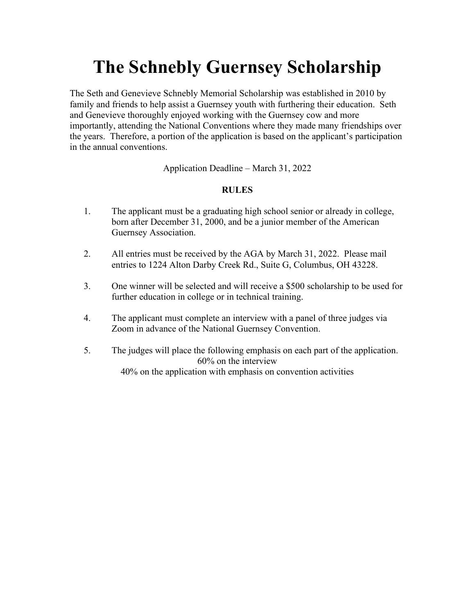# **The Schnebly Guernsey Scholarship**

The Seth and Genevieve Schnebly Memorial Scholarship was established in 2010 by family and friends to help assist a Guernsey youth with furthering their education. Seth and Genevieve thoroughly enjoyed working with the Guernsey cow and more importantly, attending the National Conventions where they made many friendships over the years. Therefore, a portion of the application is based on the applicant's participation in the annual conventions.

Application Deadline – March 31, 2022

### **RULES**

- 1. The applicant must be a graduating high school senior or already in college, born after December 31, 2000, and be a junior member of the American Guernsey Association.
- 2. All entries must be received by the AGA by March 31, 2022. Please mail entries to 1224 Alton Darby Creek Rd., Suite G, Columbus, OH 43228.
- 3. One winner will be selected and will receive a \$500 scholarship to be used for further education in college or in technical training.
- 4. The applicant must complete an interview with a panel of three judges via Zoom in advance of the National Guernsey Convention.
- 5. The judges will place the following emphasis on each part of the application. 60% on the interview 40% on the application with emphasis on convention activities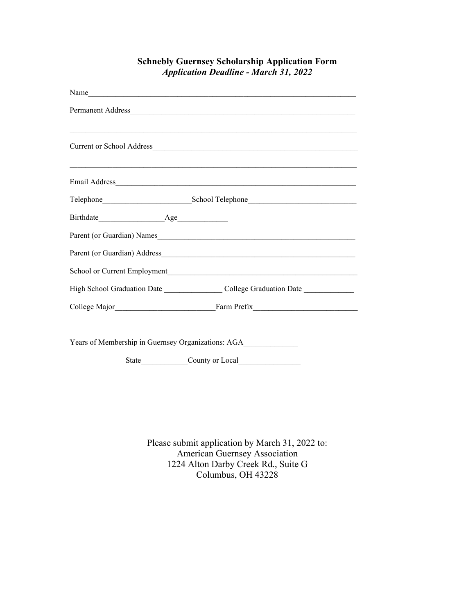| Name                                                                             |
|----------------------------------------------------------------------------------|
|                                                                                  |
| Current or School Address                                                        |
|                                                                                  |
|                                                                                  |
|                                                                                  |
| Parent (or Guardian) Names                                                       |
| Parent (or Guardian) Address_                                                    |
|                                                                                  |
| High School Graduation Date College Graduation Date College Graduation Date      |
|                                                                                  |
| Years of Membership in Guernsey Organizations: AGA______________________________ |
| County or Local<br><b>State</b>                                                  |

### **Schnebly Guernsey Scholarship Application Form** *Application Deadline - March 31, 2022*

Please submit application by March 31, 2022 to: American Guernsey Association 1224 Alton Darby Creek Rd., Suite G Columbus, OH 43228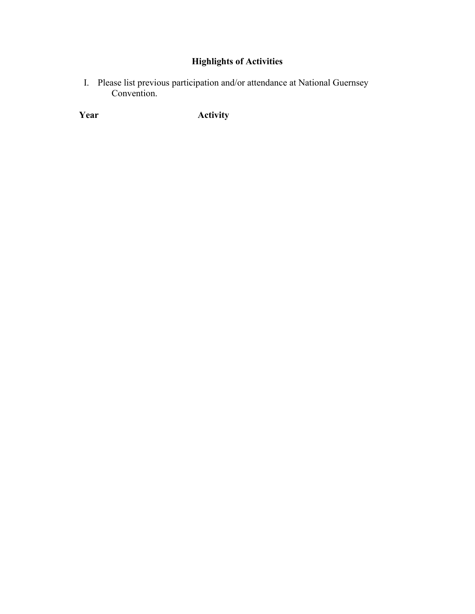## **Highlights of Activities**

I. Please list previous participation and/or attendance at National Guernsey Convention.

**Year** Activity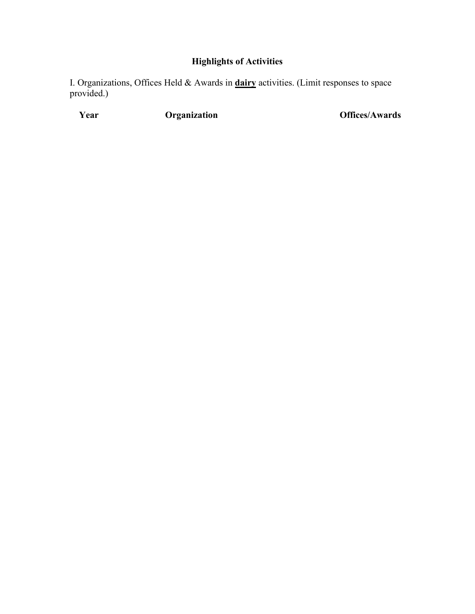### **Highlights of Activities**

I. Organizations, Offices Held & Awards in **dairy** activities. (Limit responses to space provided.)

**Year Organization Offices/Awards**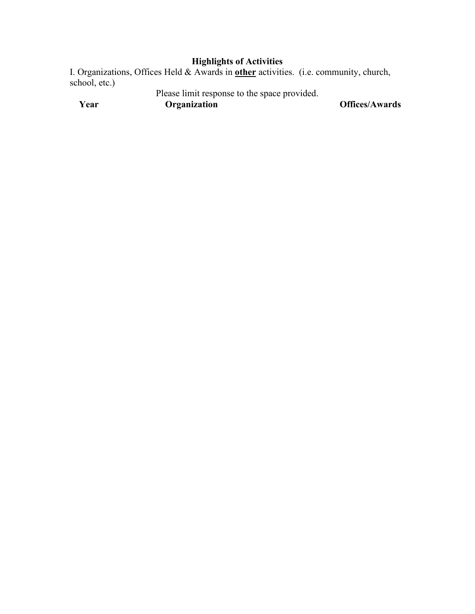### **Highlights of Activities**

I. Organizations, Offices Held & Awards in **other** activities. (i.e. community, church, school, etc.)

Please limit response to the space provided.

**Year Organization Offices/Awards**